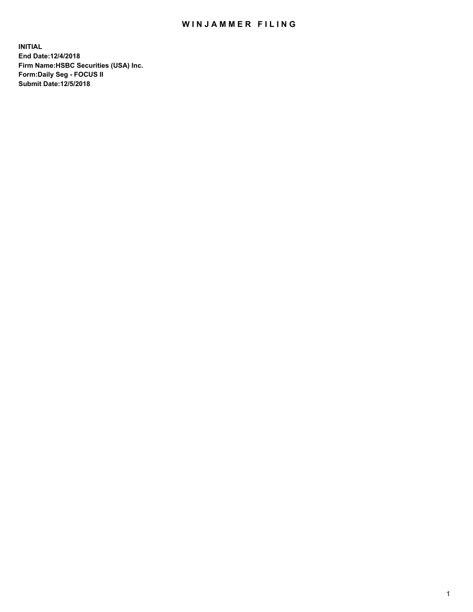## WIN JAMMER FILING

**INITIAL End Date:12/4/2018 Firm Name:HSBC Securities (USA) Inc. Form:Daily Seg - FOCUS II Submit Date:12/5/2018**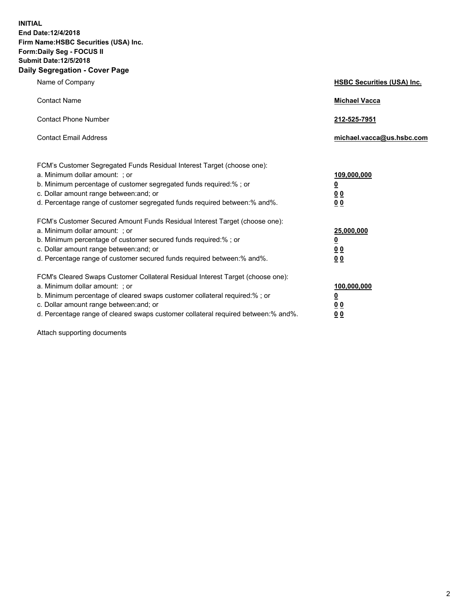**INITIAL End Date:12/4/2018 Firm Name:HSBC Securities (USA) Inc. Form:Daily Seg - FOCUS II Submit Date:12/5/2018 Daily Segregation - Cover Page**

| Name of Company                                                                                                                                                                                                                                                                                                                | <b>HSBC Securities (USA) Inc.</b>                                          |
|--------------------------------------------------------------------------------------------------------------------------------------------------------------------------------------------------------------------------------------------------------------------------------------------------------------------------------|----------------------------------------------------------------------------|
| <b>Contact Name</b>                                                                                                                                                                                                                                                                                                            | <b>Michael Vacca</b>                                                       |
| <b>Contact Phone Number</b>                                                                                                                                                                                                                                                                                                    | 212-525-7951                                                               |
| <b>Contact Email Address</b>                                                                                                                                                                                                                                                                                                   | michael.vacca@us.hsbc.com                                                  |
| FCM's Customer Segregated Funds Residual Interest Target (choose one):<br>a. Minimum dollar amount: : or<br>b. Minimum percentage of customer segregated funds required:% ; or<br>c. Dollar amount range between: and; or<br>d. Percentage range of customer segregated funds required between:% and%.                         | 109,000,000<br>$\overline{\mathbf{0}}$<br>0 <sub>0</sub><br>0 <sub>0</sub> |
| FCM's Customer Secured Amount Funds Residual Interest Target (choose one):<br>a. Minimum dollar amount: ; or<br>b. Minimum percentage of customer secured funds required:%; or<br>c. Dollar amount range between: and; or<br>d. Percentage range of customer secured funds required between:% and%.                            | 25,000,000<br>$\overline{\mathbf{0}}$<br>0 <sub>0</sub><br>0 <sub>0</sub>  |
| FCM's Cleared Swaps Customer Collateral Residual Interest Target (choose one):<br>a. Minimum dollar amount: ; or<br>b. Minimum percentage of cleared swaps customer collateral required:% ; or<br>c. Dollar amount range between: and; or<br>d. Percentage range of cleared swaps customer collateral required between:% and%. | 100,000,000<br>$\overline{\mathbf{0}}$<br>0 <sub>0</sub><br>0 <sub>0</sub> |

Attach supporting documents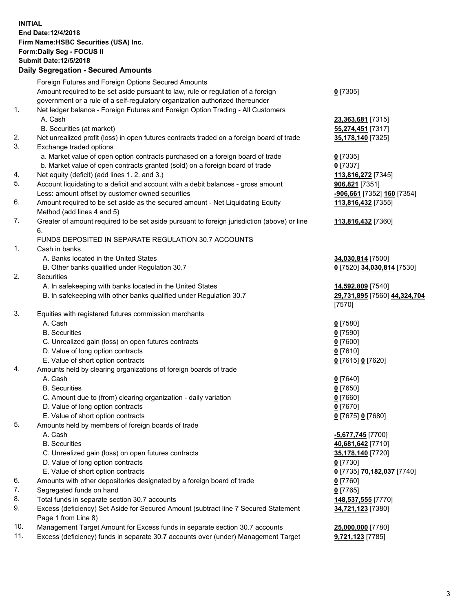**INITIAL End Date:12/4/2018 Firm Name:HSBC Securities (USA) Inc. Form:Daily Seg - FOCUS II Submit Date:12/5/2018 Daily Segregation - Secured Amounts** Foreign Futures and Foreign Options Secured Amounts Amount required to be set aside pursuant to law, rule or regulation of a foreign government or a rule of a self-regulatory organization authorized thereunder **0** [7305] 1. Net ledger balance - Foreign Futures and Foreign Option Trading - All Customers A. Cash **23,363,681** [7315] B. Securities (at market) **55,274,451** [7317] 2. Net unrealized profit (loss) in open futures contracts traded on a foreign board of trade **35,178,140** [7325] 3. Exchange traded options a. Market value of open option contracts purchased on a foreign board of trade **0** [7335] b. Market value of open contracts granted (sold) on a foreign board of trade **0** [7337] 4. Net equity (deficit) (add lines 1. 2. and 3.) **113,816,272** [7345] 5. Account liquidating to a deficit and account with a debit balances - gross amount **906,821** [7351] Less: amount offset by customer owned securities **-906,661** [7352] **160** [7354] 6. Amount required to be set aside as the secured amount - Net Liquidating Equity Method (add lines 4 and 5) **113,816,432** [7355] 7. Greater of amount required to be set aside pursuant to foreign jurisdiction (above) or line 6. **113,816,432** [7360] FUNDS DEPOSITED IN SEPARATE REGULATION 30.7 ACCOUNTS 1. Cash in banks A. Banks located in the United States **34,030,814** [7500] B. Other banks qualified under Regulation 30.7 **0** [7520] **34,030,814** [7530] 2. Securities A. In safekeeping with banks located in the United States **14,592,809** [7540] B. In safekeeping with other banks qualified under Regulation 30.7 **29,731,895** [7560] **44,324,704** [7570] 3. Equities with registered futures commission merchants A. Cash **0** [7580] B. Securities **0** [7590] C. Unrealized gain (loss) on open futures contracts **0** [7600] D. Value of long option contracts **0** [7610] E. Value of short option contracts **0** [7615] **0** [7620] 4. Amounts held by clearing organizations of foreign boards of trade A. Cash **0** [7640] B. Securities **0** [7650] C. Amount due to (from) clearing organization - daily variation **0** [7660] D. Value of long option contracts **0** [7670] E. Value of short option contracts **0** [7675] **0** [7680] 5. Amounts held by members of foreign boards of trade A. Cash **-5,677,745** [7700] B. Securities **40,681,642** [7710] C. Unrealized gain (loss) on open futures contracts **35,178,140** [7720] D. Value of long option contracts **0** [7730] E. Value of short option contracts **0** [7735] **70,182,037** [7740] 6. Amounts with other depositories designated by a foreign board of trade **0** [7760] 7. Segregated funds on hand **0** [7765] 8. Total funds in separate section 30.7 accounts **148,537,555** [7770] 9. Excess (deficiency) Set Aside for Secured Amount (subtract line 7 Secured Statement Page 1 from Line 8) **34,721,123** [7380]

10. Management Target Amount for Excess funds in separate section 30.7 accounts **25,000,000** [7780]

11. Excess (deficiency) funds in separate 30.7 accounts over (under) Management Target **9,721,123** [7785]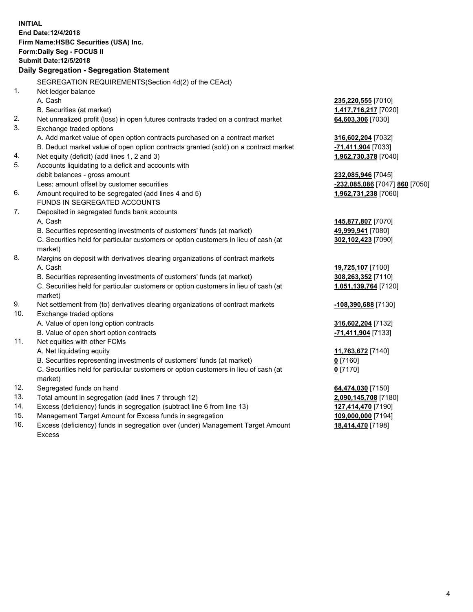|     | <b>INITIAL</b><br>End Date: 12/4/2018<br>Firm Name: HSBC Securities (USA) Inc.<br>Form: Daily Seg - FOCUS II<br><b>Submit Date:12/5/2018</b><br>Daily Segregation - Segregation Statement |                                |
|-----|-------------------------------------------------------------------------------------------------------------------------------------------------------------------------------------------|--------------------------------|
|     | SEGREGATION REQUIREMENTS(Section 4d(2) of the CEAct)                                                                                                                                      |                                |
| 1.  | Net ledger balance                                                                                                                                                                        |                                |
|     | A. Cash                                                                                                                                                                                   | 235,220,555 [7010]             |
|     | B. Securities (at market)                                                                                                                                                                 | 1,417,716,217 [7020]           |
| 2.  | Net unrealized profit (loss) in open futures contracts traded on a contract market                                                                                                        | 64,603,306 [7030]              |
| 3.  | Exchange traded options                                                                                                                                                                   |                                |
|     | A. Add market value of open option contracts purchased on a contract market                                                                                                               | 316,602,204 [7032]             |
|     | B. Deduct market value of open option contracts granted (sold) on a contract market                                                                                                       | -71,411,904 [7033]             |
| 4.  | Net equity (deficit) (add lines 1, 2 and 3)                                                                                                                                               | 1,962,730,378 [7040]           |
| 5.  | Accounts liquidating to a deficit and accounts with                                                                                                                                       |                                |
|     | debit balances - gross amount                                                                                                                                                             | 232,085,946 [7045]             |
|     | Less: amount offset by customer securities                                                                                                                                                | -232,085,086 [7047] 860 [7050] |
| 6.  | Amount required to be segregated (add lines 4 and 5)                                                                                                                                      | 1,962,731,238 [7060]           |
|     | FUNDS IN SEGREGATED ACCOUNTS                                                                                                                                                              |                                |
| 7.  | Deposited in segregated funds bank accounts                                                                                                                                               |                                |
|     | A. Cash                                                                                                                                                                                   | 145,877,807 [7070]             |
|     | B. Securities representing investments of customers' funds (at market)                                                                                                                    | 49,999,941 [7080]              |
|     | C. Securities held for particular customers or option customers in lieu of cash (at                                                                                                       | 302,102,423 [7090]             |
|     | market)                                                                                                                                                                                   |                                |
| 8.  | Margins on deposit with derivatives clearing organizations of contract markets                                                                                                            |                                |
|     | A. Cash                                                                                                                                                                                   | 19,725,107 [7100]              |
|     | B. Securities representing investments of customers' funds (at market)                                                                                                                    | 308,263,352 [7110]             |
|     | C. Securities held for particular customers or option customers in lieu of cash (at<br>market)                                                                                            | 1,051,139,764 [7120]           |
| 9.  | Net settlement from (to) derivatives clearing organizations of contract markets                                                                                                           | -108,390,688 [7130]            |
| 10. | Exchange traded options                                                                                                                                                                   |                                |
|     | A. Value of open long option contracts                                                                                                                                                    | 316,602,204 [7132]             |
|     | B. Value of open short option contracts                                                                                                                                                   | -71,411,904 [7133]             |
| 11. | Net equities with other FCMs                                                                                                                                                              |                                |
|     | A. Net liquidating equity                                                                                                                                                                 | 11,763,672 [7140]              |
|     | B. Securities representing investments of customers' funds (at market)                                                                                                                    | $0$ [7160]                     |
|     | C. Securities held for particular customers or option customers in lieu of cash (at                                                                                                       | $0$ [7170]                     |
|     | market)                                                                                                                                                                                   |                                |
| 12. | Segregated funds on hand                                                                                                                                                                  | 64,474,030 [7150]              |
| 13. | Total amount in segregation (add lines 7 through 12)                                                                                                                                      | 2,090,145,708 [7180]           |
| 14. | Excess (deficiency) funds in segregation (subtract line 6 from line 13)                                                                                                                   | 127,414,470 [7190]             |
| 15. | Management Target Amount for Excess funds in segregation                                                                                                                                  | 109,000,000 [7194]             |
| 16. | Excess (deficiency) funds in segregation over (under) Management Target Amount                                                                                                            | 18,414,470 [7198]              |

16. Excess (deficiency) funds in segregation over (under) Management Target Amount Excess